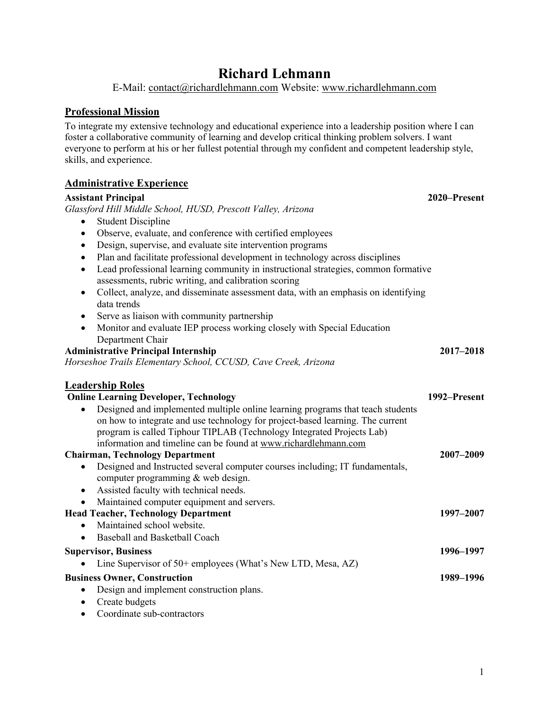# **Richard Lehmann**

E-Mail: contact@richardlehmann.com Website: www.richardlehmann.com

## **Professional Mission**

To integrate my extensive technology and educational experience into a leadership position where I can foster a collaborative community of learning and develop critical thinking problem solvers. I want everyone to perform at his or her fullest potential through my confident and competent leadership style, skills, and experience.

### **Administrative Experience**

#### **Assistant Principal 2020–Present**

*Glassford Hill Middle School, HUSD, Prescott Valley, Arizona*

- Student Discipline
- Observe, evaluate, and conference with certified employees
- Design, supervise, and evaluate site intervention programs
- Plan and facilitate professional development in technology across disciplines
- Lead professional learning community in instructional strategies, common formative assessments, rubric writing, and calibration scoring
- Collect, analyze, and disseminate assessment data, with an emphasis on identifying data trends
- Serve as liaison with community partnership
- Monitor and evaluate IEP process working closely with Special Education Department Chair

| <b>Administrative Principal Internship</b>                     | 2017-2018 |
|----------------------------------------------------------------|-----------|
| Horseshoe Trails Elementary School, CCUSD, Cave Creek, Arizona |           |

#### **Leadership Roles Online Learning Developer, Technology 1992–Present** • Designed and implemented multiple online learning programs that teach students on how to integrate and use technology for project-based learning. The current program is called Tiphour TIPLAB (Technology Integrated Projects Lab) information and timeline can be found at www.richardlehmann.com **Chairman, Technology Department 2007–2009** • Designed and Instructed several computer courses including; IT fundamentals, computer programming & web design. • Assisted faculty with technical needs. • Maintained computer equipment and servers. **Head Teacher, Technology Department 1997–2007** • Maintained school website. • Baseball and Basketball Coach **Supervisor, Business 1996–1997** • Line Supervisor of 50+ employees (What's New LTD, Mesa, AZ) **Business Owner, Construction 1989–1996** • Design and implement construction plans.

- Create budgets
- Coordinate sub-contractors